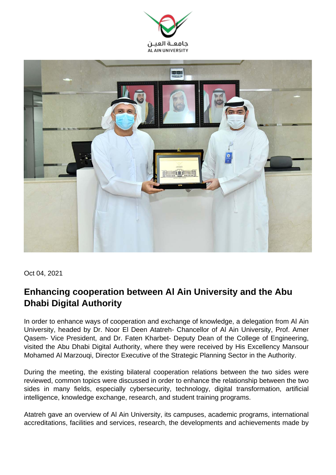



Oct 04, 2021

## **Enhancing cooperation between Al Ain University and the Abu Dhabi Digital Authority**

In order to enhance ways of cooperation and exchange of knowledge, a delegation from Al Ain University, headed by Dr. Noor El Deen Atatreh- Chancellor of Al Ain University, Prof. Amer Qasem- Vice President, and Dr. Faten Kharbet- Deputy Dean of the College of Engineering, visited the Abu Dhabi Digital Authority, where they were received by His Excellency Mansour Mohamed Al Marzouqi, Director Executive of the Strategic Planning Sector in the Authority.

During the meeting, the existing bilateral cooperation relations between the two sides were reviewed, common topics were discussed in order to enhance the relationship between the two sides in many fields, especially cybersecurity, technology, digital transformation, artificial intelligence, knowledge exchange, research, and student training programs.

Atatreh gave an overview of Al Ain University, its campuses, academic programs, international accreditations, facilities and services, research, the developments and achievements made by